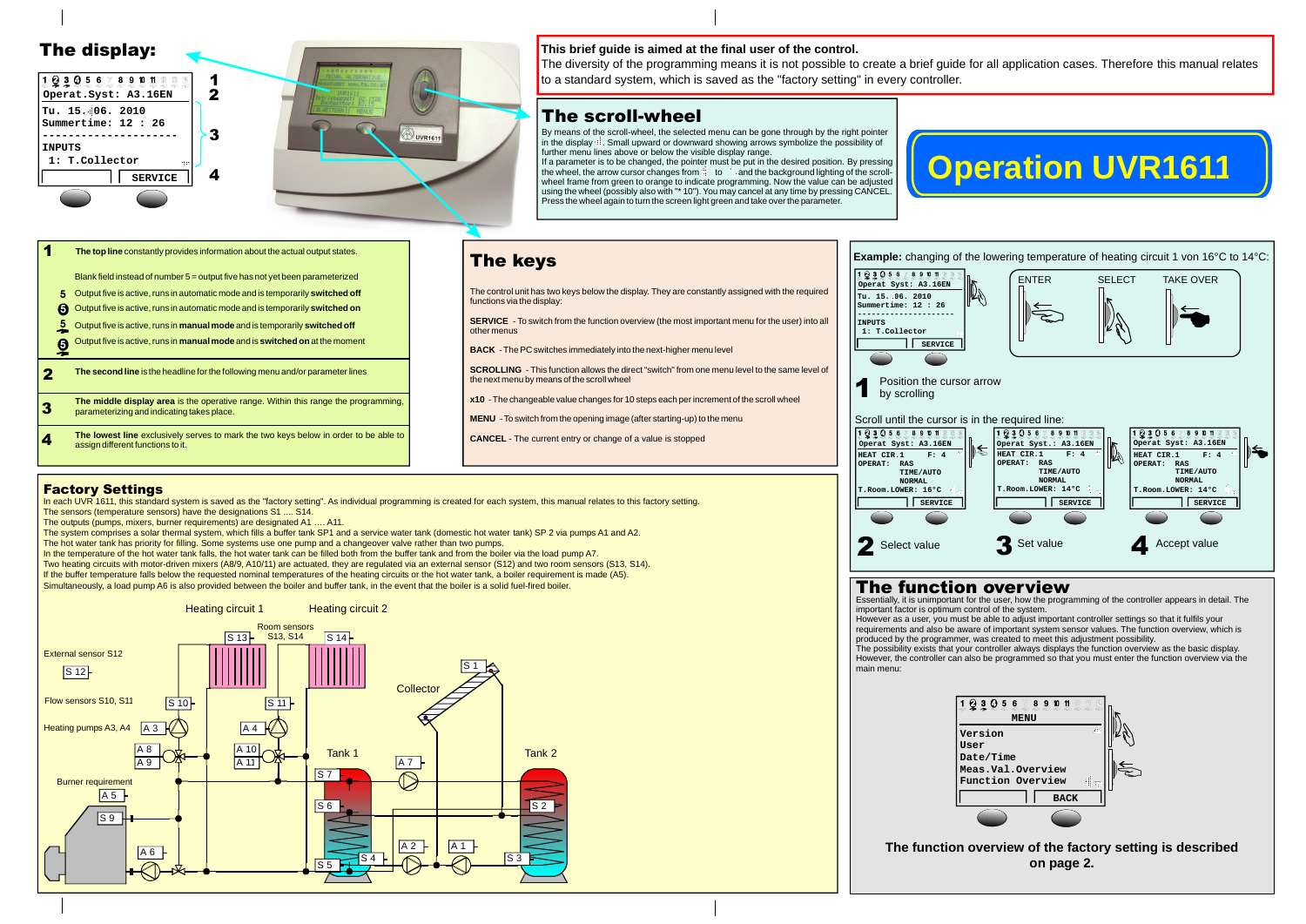# **Operation UVR1611**



- Output five is active, runs in automatic mode and is temporarily **switched off 5**
- **5** Output five is active, runs in automatic mode and is temporarily switched on

Blank field instead of number 5 = output five has not yet been parameterized

Output five is active, runs in **manual mode** and is temporarily **switched off 5**

Output five is active, runs in **manual mode** and is **switched on** at the moment **5**

**2** The second line is the headline for the following menu and/or parameter lines

#### The keys 12305678901122 **Operat Syst: A3.16EN** The control unit has two keys below the display. They are constantly assigned with the required **Tu. 15. 06. 2010** functions via the display: **Summertime: 12 : 26 --------------------- SERVICE** - To switch from the function overview (the most important menu for the user) into all **INPUTS** other menus **1: T.Collector SERVICE BACK** - The PC switches immediately into the next-higher menu level **SCROLLING** - This function allows the direct "switch" from one menu level to the same level of the next menu by means of the scroll wheel 1 by scrolling **x10** - The changeable value changes for 10 steps each per increment of the scroll wheel **MENU** - To switch from the opening image (after starting-up) to the menu

CANCEL - The current entry or change of a value is stopped

- 3 **The middle display area** is the operative range. Within this range the programming, parameterizing and indicating takes place.
- 4 **The lowest line** exclusively serves to mark the two keys below in order to be able to assign different functions to it.





If a parameter is to be changed, the pointer must be put in the desired position. By pressing wheel frame from green to orange to indicate programming. Now the value can be adjusted using the wheel (possibly also with "\* 10"). You may cancel at any time by pressing CANCEL. Press the wheel again to turn the screen light green and take over the parameter. the wheel, the arrow cursor changes from  $\ddot{=}$  to  $\ddot{=}$  and the background lighting of the scroll-



#### **1** The top line constantly provides information about the actual output states.

### The scroll-wheel

By means of the scroll-wheel, the selected menu can be gone through by the right pointer in the display  $\ddot{=}$ . Small upward or downward showing arrows symbolize the possibility of further menu lines above or below the visible display range.

In each UVR 1611, this standard system is saved as the "factory setting". As individual programming is created for each system, this manual relates to this factory setting. The sensors (temperature sensors) have the designations S1 .... S14.

Two heating circuits with motor-driven mixers (A8/9, A10/11) are actuated, they are regulated via an external sensor (S12) and two room sensors (S13, S14). If the buffer temperature falls below the requested nominal temperatures of the heating circuits or the hot water tank, a boiler requirement is made (A5). Simultaneously, a load pump A6 is also provided between the boiler and buffer tank, in the event that the boiler is a solid fuel-fired boiler.





important factor is optimum control of the system. However as a user, you must be able to adjust important controller settings so that it fulfils your requirements and also be aware of important system sensor values. The function overview, which is produced by the programmer, was created to meet this adjustment possibility. The possibility exists that your controller always displays the function overview as the basic display. However, the controller can also be programmed so that you must enter the function overview via the main menu:



#### **The function overview of the factory setting is described on page 2.**

#### **This brief guide is aimed at the final user of the control.**

The diversity of the programming means it is not possible to create a brief guide for all application cases. Therefore this manual relates to a standard system, which is saved as the "factory setting" in every controller.

#### Factory Settings

The outputs (pumps, mixers, burner requirements) are designated A1 …. A11.

The system comprises a solar thermal system, which fills a buffer tank SP1 and a service water tank (domestic hot water tank) SP 2 via pumps A1 and A2.

The hot water tank has priority for filling. Some systems use one pump and a changeover valve rather than two pumps.

In the temperature of the hot water tank falls, the hot water tank can be filled both from the buffer tank and from the boiler via the load pump A7.